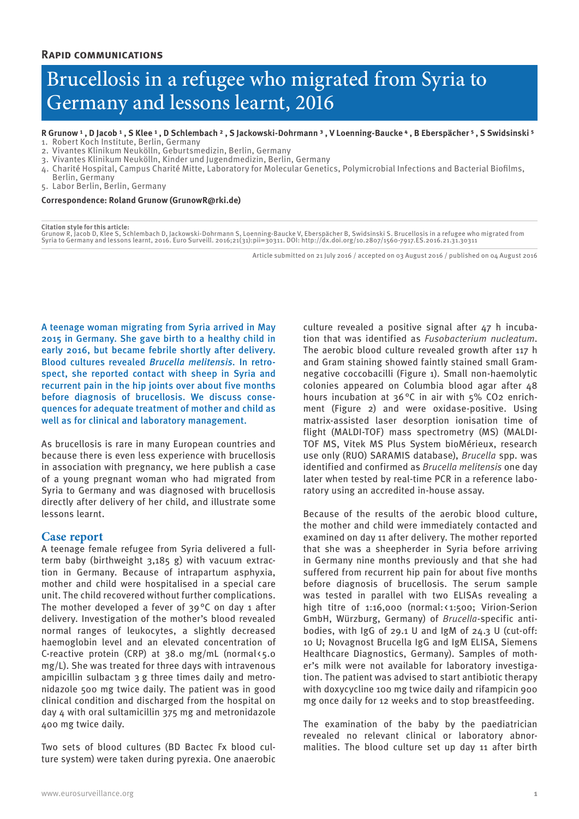# Brucellosis in a refugee who migrated from Syria to Germany and lessons learnt, 2016

R Grunow<sup>1</sup>, D Jacob<sup>1</sup>, S Klee<sup>1</sup>, D Schlembach<sup>2</sup>, S Jackowski-Dohrmann<sup>3</sup>, V Loenning-Baucke<sup>4</sup>, B Eberspächer<sup>5</sup>, S Swidsinski<sup>5</sup>

- 1. Robert Koch Institute, Berlin, Germany
- 2. Vivantes Klinikum Neukölln, Geburtsmedizin, Berlin, Germany

3. Vivantes Klinikum Neukölln, Kinder und Jugendmedizin, Berlin, Germany

4. Charité Hospital, Campus Charité Mitte, Laboratory for Molecular Genetics, Polymicrobial Infections and Bacterial Biofilms, Berlin, Germany

5. Labor Berlin, Berlin, Germany

#### **Correspondence: Roland Grunow (GrunowR@rki.de)**

#### **Citation style for this article:**

Grunow R, Jacob D, Klee S, Schlembach D, Jackowski-Dohrmann S, Loenning-Baucke V, Eberspächer B, Swidsinski S. Brucellosis in a refugee who migrated from<br>Syria to Germany and lessons learnt, 2016. Euro Surveill. 2016;21(31

Article submitted on 21 July 2016 / accepted on 03 August 2016 / published on 04 August 2016

A teenage woman migrating from Syria arrived in May 2015 in Germany. She gave birth to a healthy child in early 2016, but became febrile shortly after delivery. Blood cultures revealed *Brucella melitensis.* In retrospect, she reported contact with sheep in Syria and recurrent pain in the hip joints over about five months before diagnosis of brucellosis. We discuss consequences for adequate treatment of mother and child as well as for clinical and laboratory management.

As brucellosis is rare in many European countries and because there is even less experience with brucellosis in association with pregnancy, we here publish a case of a young pregnant woman who had migrated from Syria to Germany and was diagnosed with brucellosis directly after delivery of her child, and illustrate some lessons learnt.

## **Case report**

A teenage female refugee from Syria delivered a fullterm baby (birthweight 3,185 g) with vacuum extraction in Germany. Because of intrapartum asphyxia, mother and child were hospitalised in a special care unit. The child recovered without further complications. The mother developed a fever of  $39^{\circ}$ C on day 1 after delivery. Investigation of the mother's blood revealed normal ranges of leukocytes, a slightly decreased haemoglobin level and an elevated concentration of C-reactive protein (CRP) at  $38.0$  mg/mL (normal $\zeta$ 5.0 mg/L). She was treated for three days with intravenous ampicillin sulbactam 3 g three times daily and metronidazole 500 mg twice daily. The patient was in good clinical condition and discharged from the hospital on day 4 with oral sultamicillin 375 mg and metronidazole 400 mg twice daily.

Two sets of blood cultures (BD Bactec Fx blood culture system) were taken during pyrexia. One anaerobic culture revealed a positive signal after 47 h incubation that was identified as *Fusobacterium nucleatum*. The aerobic blood culture revealed growth after 117 h and Gram staining showed faintly stained small Gramnegative coccobacilli (Figure 1). Small non-haemolytic colonies appeared on Columbia blood agar after 48 hours incubation at 36°C in air with 5% CO2 enrichment (Figure 2) and were oxidase-positive. Using matrix-assisted laser desorption ionisation time of flight (MALDI-TOF) mass spectrometry (MS) (MALDI-TOF MS, Vitek MS Plus System bioMérieux, research use only (RUO) SARAMIS database), *Brucella* spp. was identified and confirmed as *Brucella melitensis* one day later when tested by real-time PCR in a reference laboratory using an accredited in-house assay.

Because of the results of the aerobic blood culture, the mother and child were immediately contacted and examined on day 11 after delivery. The mother reported that she was a sheepherder in Syria before arriving in Germany nine months previously and that she had suffered from recurrent hip pain for about five months before diagnosis of brucellosis. The serum sample was tested in parallel with two ELISAs revealing a high titre of 1:16,000 (normal: < 1:500; Virion-Serion GmbH, Würzburg, Germany) of *Brucella*-specific antibodies, with IgG of 29.1 U and IgM of 24.3 U (cut-off: 10 U; Novagnost Brucella IgG and IgM ELISA, Siemens Healthcare Diagnostics, Germany). Samples of mother's milk were not available for laboratory investigation. The patient was advised to start antibiotic therapy with doxycycline 100 mg twice daily and rifampicin 900 mg once daily for 12 weeks and to stop breastfeeding.

The examination of the baby by the paediatrician revealed no relevant clinical or laboratory abnormalities. The blood culture set up day 11 after birth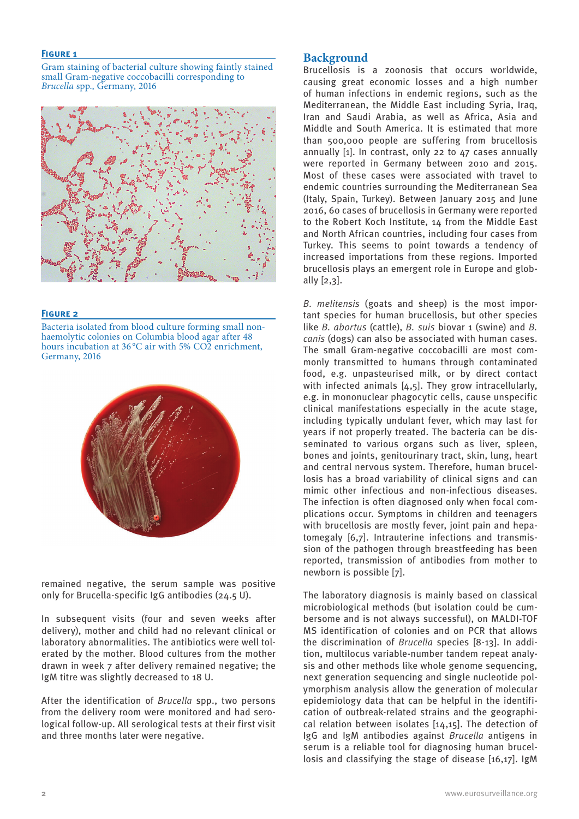## **Figure 1**

Gram staining of bacterial culture showing faintly stained small Gram-negative coccobacilli corresponding to *Brucella* spp., Germany, 2016



## **Figure 2**

Bacteria isolated from blood culture forming small nonhaemolytic colonies on Columbia blood agar after 48 hours incubation at 36 °C air with 5% CO<sub>2</sub> enrichment, Germany, 2016



remained negative, the serum sample was positive only for Brucella-specific IgG antibodies (24.5 U).

In subsequent visits (four and seven weeks after delivery), mother and child had no relevant clinical or laboratory abnormalities. The antibiotics were well tolerated by the mother. Blood cultures from the mother drawn in week 7 after delivery remained negative; the IgM titre was slightly decreased to 18 U.

After the identification of *Brucella* spp., two persons from the delivery room were monitored and had serological follow-up. All serological tests at their first visit and three months later were negative.

## **Background**

Brucellosis is a zoonosis that occurs worldwide, causing great economic losses and a high number of human infections in endemic regions, such as the Mediterranean, the Middle East including Syria, Iraq, Iran and Saudi Arabia, as well as Africa, Asia and Middle and South America. It is estimated that more than 500,000 people are suffering from brucellosis annually [1]. In contrast, only 22 to 47 cases annually were reported in Germany between 2010 and 2015. Most of these cases were associated with travel to endemic countries surrounding the Mediterranean Sea (Italy, Spain, Turkey). Between January 2015 and June 2016, 60 cases of brucellosis in Germany were reported to the Robert Koch Institute, 14 from the Middle East and North African countries, including four cases from Turkey. This seems to point towards a tendency of increased importations from these regions. Imported brucellosis plays an emergent role in Europe and globally [2,3].

*B. melitensis* (goats and sheep) is the most important species for human brucellosis, but other species like *B. abortus* (cattle), *B. suis* biovar 1 (swine) and *B. canis* (dogs) can also be associated with human cases. The small Gram-negative coccobacilli are most commonly transmitted to humans through contaminated food, e.g. unpasteurised milk, or by direct contact with infected animals [4,5]. They grow intracellularly, e.g. in mononuclear phagocytic cells, cause unspecific clinical manifestations especially in the acute stage, including typically undulant fever, which may last for years if not properly treated. The bacteria can be disseminated to various organs such as liver, spleen, bones and joints, genitourinary tract, skin, lung, heart and central nervous system. Therefore, human brucellosis has a broad variability of clinical signs and can mimic other infectious and non-infectious diseases. The infection is often diagnosed only when focal complications occur. Symptoms in children and teenagers with brucellosis are mostly fever, joint pain and hepatomegaly [6,7]. Intrauterine infections and transmission of the pathogen through breastfeeding has been reported, transmission of antibodies from mother to newborn is possible [7].

The laboratory diagnosis is mainly based on classical microbiological methods (but isolation could be cumbersome and is not always successful), on MALDI-TOF MS identification of colonies and on PCR that allows the discrimination of *Brucella* species [8-13]. In addition, multilocus variable-number tandem repeat analysis and other methods like whole genome sequencing, next generation sequencing and single nucleotide polymorphism analysis allow the generation of molecular epidemiology data that can be helpful in the identification of outbreak-related strains and the geographical relation between isolates [14,15]. The detection of IgG and IgM antibodies against *Brucella* antigens in serum is a reliable tool for diagnosing human brucellosis and classifying the stage of disease [16,17]. IgM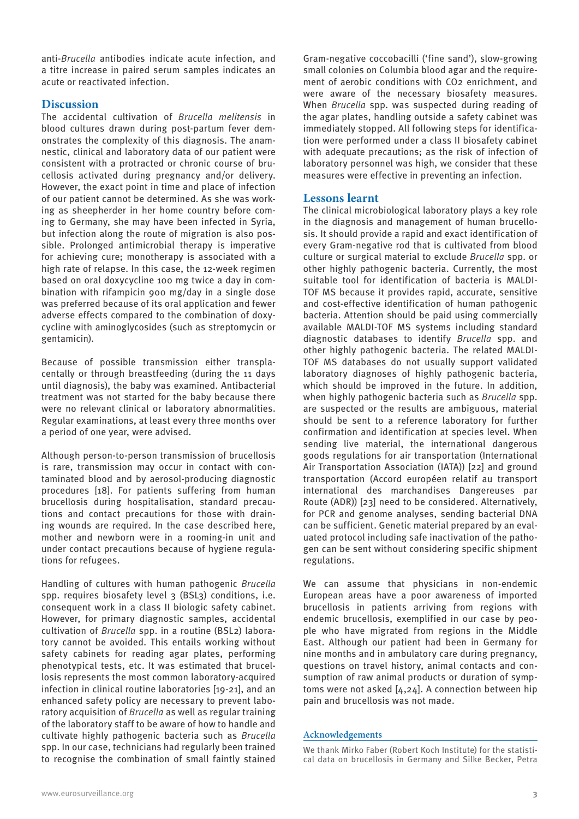anti-*Brucella* antibodies indicate acute infection, and a titre increase in paired serum samples indicates an acute or reactivated infection.

# **Discussion**

The accidental cultivation of *Brucella melitensis* in blood cultures drawn during post-partum fever demonstrates the complexity of this diagnosis. The anamnestic, clinical and laboratory data of our patient were consistent with a protracted or chronic course of brucellosis activated during pregnancy and/or delivery. However, the exact point in time and place of infection of our patient cannot be determined. As she was working as sheepherder in her home country before coming to Germany, she may have been infected in Syria, but infection along the route of migration is also possible. Prolonged antimicrobial therapy is imperative for achieving cure; monotherapy is associated with a high rate of relapse. In this case, the 12-week regimen based on oral doxycycline 100 mg twice a day in combination with rifampicin 900 mg/day in a single dose was preferred because of its oral application and fewer adverse effects compared to the combination of doxycycline with aminoglycosides (such as streptomycin or gentamicin).

Because of possible transmission either transplacentally or through breastfeeding (during the 11 days until diagnosis), the baby was examined. Antibacterial treatment was not started for the baby because there were no relevant clinical or laboratory abnormalities. Regular examinations, at least every three months over a period of one year, were advised.

Although person-to-person transmission of brucellosis is rare, transmission may occur in contact with contaminated blood and by aerosol-producing diagnostic procedures [18]. For patients suffering from human brucellosis during hospitalisation, standard precautions and contact precautions for those with draining wounds are required. In the case described here, mother and newborn were in a rooming-in unit and under contact precautions because of hygiene regulations for refugees.

Handling of cultures with human pathogenic *Brucella* spp. requires biosafety level 3 (BSL3) conditions, i.e. consequent work in a class II biologic safety cabinet. However, for primary diagnostic samples, accidental cultivation of *Brucella* spp. in a routine (BSL2) laboratory cannot be avoided. This entails working without safety cabinets for reading agar plates, performing phenotypical tests, etc. It was estimated that brucellosis represents the most common laboratory-acquired infection in clinical routine laboratories [19-21], and an enhanced safety policy are necessary to prevent laboratory acquisition of *Brucella* as well as regular training of the laboratory staff to be aware of how to handle and cultivate highly pathogenic bacteria such as *Brucella* spp. In our case, technicians had regularly been trained to recognise the combination of small faintly stained Gram-negative coccobacilli ('fine sand'), slow-growing small colonies on Columbia blood agar and the requirement of aerobic conditions with CO<sub>2</sub> enrichment, and were aware of the necessary biosafety measures. When *Brucella* spp. was suspected during reading of the agar plates, handling outside a safety cabinet was immediately stopped. All following steps for identification were performed under a class II biosafety cabinet with adequate precautions; as the risk of infection of laboratory personnel was high, we consider that these measures were effective in preventing an infection.

# **Lessons learnt**

The clinical microbiological laboratory plays a key role in the diagnosis and management of human brucellosis. It should provide a rapid and exact identification of every Gram-negative rod that is cultivated from blood culture or surgical material to exclude *Brucella* spp. or other highly pathogenic bacteria. Currently, the most suitable tool for identification of bacteria is MALDI-TOF MS because it provides rapid, accurate, sensitive and cost-effective identification of human pathogenic bacteria. Attention should be paid using commercially available MALDI-TOF MS systems including standard diagnostic databases to identify *Brucella* spp. and other highly pathogenic bacteria. The related MALDI-TOF MS databases do not usually support validated laboratory diagnoses of highly pathogenic bacteria, which should be improved in the future. In addition, when highly pathogenic bacteria such as *Brucella* spp. are suspected or the results are ambiguous, material should be sent to a reference laboratory for further confirmation and identification at species level. When sending live material, the international dangerous goods regulations for air transportation (International Air Transportation Association (IATA)) [22] and ground transportation (Accord européen relatif au transport international des marchandises Dangereuses par Route (ADR)) [23] need to be considered. Alternatively, for PCR and genome analyses, sending bacterial DNA can be sufficient. Genetic material prepared by an evaluated protocol including safe inactivation of the pathogen can be sent without considering specific shipment regulations.

We can assume that physicians in non-endemic European areas have a poor awareness of imported brucellosis in patients arriving from regions with endemic brucellosis, exemplified in our case by people who have migrated from regions in the Middle East. Although our patient had been in Germany for nine months and in ambulatory care during pregnancy, questions on travel history, animal contacts and consumption of raw animal products or duration of symptoms were not asked [4,24]. A connection between hip pain and brucellosis was not made.

## **Acknowledgements**

We thank Mirko Faber (Robert Koch Institute) for the statistical data on brucellosis in Germany and Silke Becker, Petra